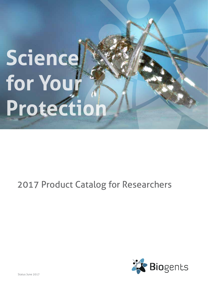# **Science for Your Protectio**

### 2017 Product Catalog for Researchers



Status June 2017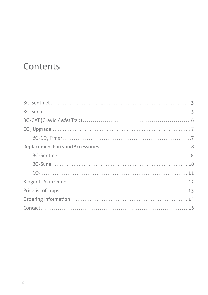### **Contents**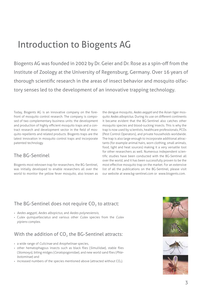### Introduction to Biogents AG

Biogents AG was founded in 2002 by Dr. Geier and Dr. Rose as a spin-off from the Institute of Zoology at the University of Regensburg, Germany. Over 16 years of thorough scientific research in the areas of insect behavior and mosquito olfactory senses led to the development of an innovative trapping technology.

Today, Biogents AG is an innovative company on the forefront of mosquito control research. The company is composed of two complementary business units: the development and production of highly efficient mosquito traps and a contract research and development sector in the field of mosquito repellents and related products. Biogents traps are the latest innovation in mosquito control traps and incorporate patented technology.

#### The BG-Sentinel

Biogents most reknown trap for researchers, the BG-Sentinel, was initially developed to enable researchers all over the world to monitor the yellow fever mosquito, also known as

the dengue mosquito, *Aedes aegypti* and the Asian tiger mosquito *Aedes albopictus*. During its use on different continents it became evident that the BG-Sentinel also catches other mosquito species and blood-sucking insects. This is why the trap is now used by scientists, healthcare professionals, PCOs (Pest Control Operators), and private households worldwide. The trap is also large enough to incorporate additional attractants (for example animal hairs, worn clothing, small animals, food, light and heat sources) making it a very versatile tool for other researchers as well. Numerous independent scientific studies have been conducted with the BG-Sentinel all over the world, and it has been successfully proven to be the most effective mosquito trap on the market. For an extensive list of all the publications on the BG-Sentinel, please visit our website at www.bg-sentinel.com or www.biogents.com.

#### The BG-Sentinel does not require  $CO<sub>2</sub>$  to attract:

- • Aedes aegypti, Aedes albopictus, and Aedes polynesiensis,
- Culex quinquefasciatus and various other Culex species from the Culex pipiens complex.

#### With the addition of  $CO<sub>2</sub>$  the BG-Sentinel attracts:

- a wide range of Culicinae and Anophelinae species,
- other hematophagous insects such as black flies (Simuliidae), stable flies (Stomoxys), biting midges (Ceratopogonidae), and new world sand flies (Phlebotominae) and
- $\cdot$  increased numbers of the species mentioned above (attracted without CO<sub>2</sub>).



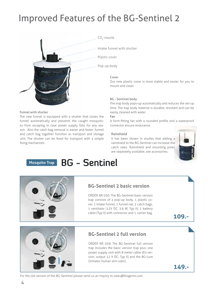### Improved Features of the BG-Sentinel 2



The new funnel is equipped with a shutter that closes the funnel automatically and prevents the caught mosquitoes from escaping in case power supply fails for any reason. Also the catch bag removal is easier and faster: funnel and catch bag together function as transport and storage unit. The shutter can be fixed for transport with a simple

.. Intake funnel with shutter

Plastic cover

Pop-up body

#### Cover

Our new plastic cover is more stable and easier for you to mount and clean.

#### BG - Sentinel body

The trap body pops-up automatically and reduces the set-up time. The trap body material is durable, resistant and can be Funnel with shutter easily cleaned with water.

#### Fan

A form-fitting fan with a rounded profile and a waterproof connector ensure endurance.

#### Rainshield

It has been shown in studies that adding a rainshield to the BG-Sentinel can increase the catch rates. Rainshield and mounting poles are separately available, see accessories.



#### **BG - Sentinel Mosquito Trap**



fixing mechanism.

#### **BG-Sentinel 2 basic version**

ORDER NR 030: The BG-Sentinel basic version trap consists of a pop-up body, 1 plastic cover, 1 intake funnel, 1 funnel net, 2 catch bags, 1 ventilator (12V DC, 3.6 W, Typ II), 1 battery cable (Typ II) with connector and 1 carrier bag.

**109.-**



#### **BG-Sentinel 2 full version**

ORDER NR 039: The BG-Sentinel full version trap includes the basic version trap plus: one power supply unit with 8 meter cable (EU version, output 12 V DC, Typ II) and the BG-Lure (imitates human skin odor).

**149.-**

For the old version of the BG-Sentinel please send us an inquiry to sales@biogents.com.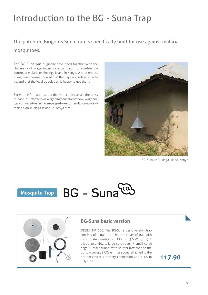### Introduction to the BG - Suna Trap

#### The patented Biogents Suna trap is specifically built for use against malaria mosquitoes.

The BG-Suna was originally developed together with the University of Wageningen for a campaign for eco-friendly control of malaria on Rusinga Island in Kenya. A pilot project in eighteen houses showed that the traps are indeed effective, and that the local population is happy to use them.

For more information about this project please see the press release at http://www.wageningenur.nl/en/show/Wageningen-University-starts-campaign-for-ecofriendly-control-ofmalaria-on-Rusinga-Island-in-Kenya.htm



BG-Suna in Rusinga Island, Kenya





#### **BG-Suna basic version**

ORDER NR 600: The BG-Suna basic version trap consists of 1 trap lid, 1 bottom cover of trap with incorporated ventilator (12V DC, 3.6 W, Typ II), 1 tripod assembly, 1 large catch bag, 3 small catch bags, 1 intake funnel with shutter (attached to the bottom cover),  $1 \text{ CO}_2$  emitter spout (attached to the bottom cover), 1 battery connection and a 1.5 m  $CO<sub>2</sub>$  tube.

**117.90**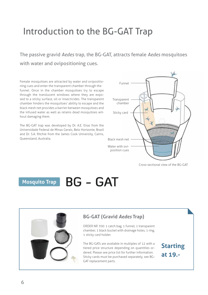### Introduction to the BG-GAT Trap

The passive gravid *Aedes* trap, the BG-GAT, attracts female *Aedes* mosquitoes with water and ovipositioning cues.

Female mosquitoes are attracted by water and ovipositioning cues and enter the transparent chamber through the funnel. Once in the chamber mosquitoes try to escape through the translucent windows where they are exposed to a sticky surface, oil or insecticides. The transparent chamber hinders the mosquitoes' ability to escape and the black mesh net provides a barrier between mosquitoes and the infused water as well as retains dead mosquitoes without damaging them.

The BG-GAT trap was developed by Dr. A.E. Eiras from the Universidade Federal de Minas Gerais, Belo Horizonte, Brazil and Dr. S.A. Ritchie from the James Cook University, Cairns, Queensland, Australia.



Cross-sectional view of the BG-GAT

### Mosquito Trap BG - GAT

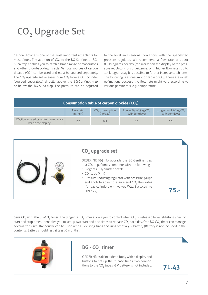### CO<sub>2</sub> Upgrade Set

Carbon dioxide is one of the most important attractants for mosquitoes. The addition of  $CO<sub>2</sub>$  to the BG-Sentinel or BG-Suna trap enables you to catch a broad range of mosquitoes and other blood-sucking insects. Various sources of carbon dioxide  $(CO<sub>2</sub>)$  can be used and must be sourced separately. The  $CO<sub>2</sub>$  upgrade set releases pure  $CO<sub>2</sub>$  from a  $CO<sub>2</sub>$  cylinder (sourced separately) directly above the BG-Sentinel trap or below the BG-Suna trap. The pressure can be adjusted

to the local and seasonal conditions with the specialized pressure regulator. We recommend a flow rate of about 0.5 kilograms per day (red marker on the display of the pressure regulator) for surveillance. With higher flow rates up to 1.5 kilogram/day it is possible to further increase catch rates. The following is a consumption table of  $CO<sub>2</sub>$ . These are rough estimations because the flow rate might vary according to various parameters, e.g., temperature.

| Consumption table of carbon dioxide (CO <sub>2</sub> )                   |                       |                                         |                                                      |                                                       |  |  |  |
|--------------------------------------------------------------------------|-----------------------|-----------------------------------------|------------------------------------------------------|-------------------------------------------------------|--|--|--|
|                                                                          | Flow rate<br>(ml/min) | CO <sub>3</sub> consumption<br>(kg/day) | Longevity of 5 kg CO <sub>2</sub><br>cylinder (days) | Longevity of 10 kg CO <sub>2</sub><br>cylinder (days) |  |  |  |
| CO <sub>2</sub> flow rate adjusted to the red mar-<br>ker on the display | 175                   | 0.5                                     | 10                                                   | 20                                                    |  |  |  |



Save CO<sub>2</sub> with the BG-CO<sub>2</sub> timer: The Biogents CO<sub>2</sub> timer allows you to control when CO<sub>2</sub> is released by establishing specific start and stop times. It enables you to set up two start and end times to release CO<sub>2</sub> each day. One BG-CO<sub>2</sub> timer can manage several traps simultaneously, can be used with all existing traps and runs off of a 9 V battery (Battery is not included in the contents. Battery should last at least 6 months).

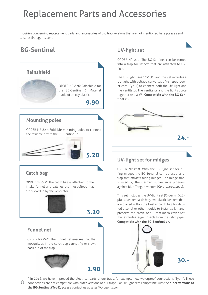### Replacement Parts and Accessories

Inquiries concerning replacement parts and accessories of old trap versions that are not mentioned here please send to sales@biogents.com.

### **BG-Sentinel**

#### **Rainshield**



ORDER NR 826: Rainshield for the BG-Sentinel 2. Material made of sturdy plastic.

 **9.90**

#### **Mounting poles**

ORDER NR 827: Foldable mounting poles to connect the rainshield with the BG-Sentinel 2.

$$
\frac{1}{\sqrt{1-\frac{1}{2}}}
$$
 5.20

#### **Catch bag**

ORDER NR 060: The catch bag is attached to the intake funnel and catches the mosquitoes that are sucked in by the ventilator.



 **3.20**

 **2.90**

#### **Funnel net**

ORDER NR 062: The funnel net ensures that the mosquitoes in the catch bag cannot fly or crawl back out of the trap.



#### **UV-light set**

ORDER NR 011: The BG-Sentinel can be turned into a trap for insects that are attracted to UVlight.

The UV-light uses 12V DC, and the set includes a UV-light with voltage converter, a Y-shaped power cord (Typ II) to connect both the UV-light and the ventilator. The ventilator and the light source together use 8 W. **Compatible with the BG-Sentinel 2\*.**



#### **UV-light set for midges**

ORDER NR 010: With the UV-light set for biting midges the BG-Sentinel can be used as a trap that attracts biting midges. The midge trap is used by the German surveillance program against Blue Tongue vectors (Ceratopogonidae).

This set includes the UV-light set (Order nr. 011) plus a beaker catch bag, two plastic beakers that are placed within the beaker catch bag for diluted alcohol or other liquids to instantly kill and preserve the catch, one 5 mm mesh cover net that excludes larger insects from the catch pipe. **Compatible with the BG-Sentinel 2\*.**



\* In 2016, we have improved the electrical parts of our traps, for example new waterproof connections (Typ II). These

8 connections are not compatible with older versions of our traps. For UV light sets compatible with the **older versions of the BG-Sentinel (Typ I),** please contact us at sales@biogents.com.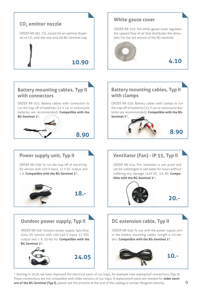

\* Starting in 2016, we have improved the electrical parts of our traps, for example new waterproof connections (Typ II). These connections are not compatible with older versions of our traps. If replacement parts are needed for **older versions of the BG-Sentinel (Typ I),** please see the pricelist at the end of the catalog or contact Biogents directly.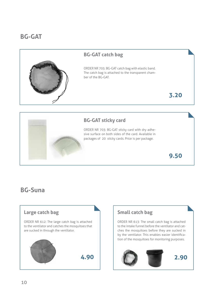#### **BG-GAT**

#### **BG-GAT catch bag**

ORDER NR 705: BG-GAT catch bag with elastic band. The catch bag is attached to the transparent chamber of the BG-GAT.

**3.20**

#### **BG-GAT sticky card**

ORDER NR 703: BG-GAT sticky card with dry adhesive surface on both sides of the card. Available in packages of 20 sticky cards. Price is per package.

**9.50**

#### **BG-Suna**

## **4.90 Large catch bag** ORDER NR 612: The large catch bag is attached to the ventilator and catches the mosquitoes that are sucked in through the ventilator.

#### **Small catch bag**

ORDER NR 613: The small catch bag is attached to the intake funnel before the ventilator and catches the mosquitoes before they are sucked in by the ventilator. This enables easier identification of the mosquitoes for monitoring purposes.

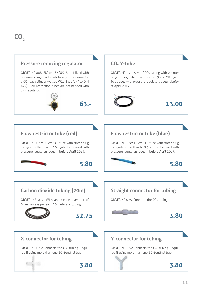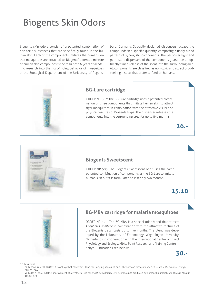### Biogents Skin Odors

Biogents skin odors consist of a patented combination of non-toxic substances that are specifically found in the human skin. Each of the components imitates the human skin that mosquitoes are attracted to. Biogents' patented mixture of human skin compounds is the result of 16 years of academic research into the host-finding behavior of mosquitoes at the Zoological Department of the University of Regens-

burg, Germany. Specially designed dispensers release the compounds in a specific quantity, composing a finely tuned pattern of synergistic components. The particular light and permeable dispensers of the components guarantee an optimally timed release of the scent into the surrounding area. All components are classified as non-toxic and attract bloodseeking insects that prefer to feed on humans.



#### **BG-Lure cartridge**

ORDER NR 503: The BG-Lure cartridge uses a patented combination of three components that imitate human skin to attract tiger mosquitoes in combination with the attractive visual and physical features of Biogents traps. The dispenser releases the components into the surrounding area for up to five months.





#### **Biogents Sweetscent**

ORDER NR 505: The Biogents Sweetscent odor uses the same patented combination of components as the BG-Lure to imitate human skin but it is formulated to last only two months.

#### **15.10**



#### **BG-MB5 cartridge for malaria mosquitoes**

ORDER NR 520: The BG-MB5 is a special odor blend that attracts *Anopheles gambiae* in combination with the attractive features of the Biogents traps. Lasts up to five months. The blend was developed by the Laboratory of Entomology, Wageningen University, Netherlands in cooperation with the International Centre of Insect Physiology and Ecology, Mbita Point Research and Training Centre in Kenya. Publications see below\*.

**30.-**

\* Publications:

- • Mukabana, W. et al. (2012): A Novel Synthetic Odorant Blend for Trapping of Malaria and Other African Mosquito Species. *Journal of Chemical Ecology*. 38:235-244.
- • Verhulst, N. et al. (2011): Improvement of a synthetic lure for *Anopheles gambiae* using compounds produced by human skin microbiota. *Malaria Journal*. 10(28): 1-9.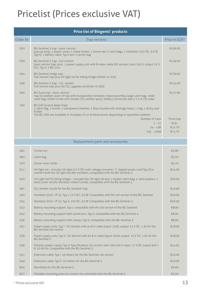### Pricelist (Prices exclusive VAT)

| <b>Price list of Biogents' products</b> |                                                                                                                                                                                                                                                     |               |  |  |  |
|-----------------------------------------|-----------------------------------------------------------------------------------------------------------------------------------------------------------------------------------------------------------------------------------------------------|---------------|--|--|--|
| Order Nr.                               | Trap versions                                                                                                                                                                                                                                       | Price in EUR* |  |  |  |
| 030                                     | BG-Sentinel 2 trap - basic version:<br>pop-up body, 1 plastic cover, 1 intake funnel, 1 funnel net, 2 catch bags, 1 ventilator (12V DC, 3.6 W,<br>Typ II), 1 battery cable, Typ II and 1 carrier bag                                                | €109.00       |  |  |  |
| 039                                     | BG-Sentinel 2 trap - full version:<br>basic version trap, plus: 1 power supply unit with 8 meter cable (EU version, input 220 V, output 12 V<br>DC), Typ II, 1 BG-Lure                                                                              | €149.00       |  |  |  |
| 004                                     | BG-Sentinel midge trap:<br>Full version trap plus UV-light set for biting midges (Order nr. 010)                                                                                                                                                    | €179.00       |  |  |  |
| 038                                     | BG-Sentinel 2 trap - CO <sub>2</sub> version:<br>Full version trap plus the CO <sub>2</sub> upgrade set (Order nr. 093)                                                                                                                             | €215.00       |  |  |  |
| 600                                     | BG-Suna trap - basic version:<br>trap lid, bottom cover of trap with incorporated ventilator, tripod assembly, large catch bag, small<br>catch bag, intake funnel with shutter, $CO2$ emitter spout, battery connection and a 1.5 m $CO2$ tube      | €117.90       |  |  |  |
| 700                                     | BG-GAT (Gravid Aedes Trap):<br>1 catch bag, 1 funnel, 1 transparent chamber, 1 black bucket with drainage holes, 1 ring, 1 sticky card<br>holder.<br>The BG-GATs are available in multiples of 12 at tiered prices depending on quantities ordered. |               |  |  |  |
|                                         | Number of traps                                                                                                                                                                                                                                     | Price/trap    |  |  |  |
|                                         | $1 - 12$                                                                                                                                                                                                                                            | €19.          |  |  |  |
|                                         | $24 - 108$                                                                                                                                                                                                                                          | €14.70        |  |  |  |
|                                         | $120 - 1008$                                                                                                                                                                                                                                        | €11.70        |  |  |  |

Replacement parts and accessories

| 062 | Funnel net                                                                                                                                                                                 | €2.90  |
|-----|--------------------------------------------------------------------------------------------------------------------------------------------------------------------------------------------|--------|
| 060 | Catch bag                                                                                                                                                                                  | €3.20  |
| 019 | Gauze cover, white                                                                                                                                                                         | €4.10  |
| 011 | UV-light set - includes UV-light (12 V DC) with voltage converter, 'Y' shaped power cord (Typ II) to<br>connect both the UV light and the ventilator, compatible with the BG-Sentinel 2.   | €24.00 |
| 010 | UV-Light Set for biting midges - includes the UV-light set plus 1 beaker catch bag, 2 catch beakers, 1<br>mesh cover net (for the black intake funnel), compatible with the BG-Sentinel 2. | €30.00 |
| 081 | CO <sub>2</sub> emitter nozzle for the BG-Sentinel Trap                                                                                                                                    | €10.90 |
| 050 | Ventilator (Fan) - IP 55, Typ I, 12 V DC, 3.6 W. Compatible with the old version of the BG-Sentinel.                                                                                       | €20.00 |
| 034 | Ventilator (Fan) - IP 55, Typ II, 12V DC, 3.6 W. Compatible with the BG-Sentinel 2.                                                                                                        | €20.00 |
| 022 | Battery mounting support, Typ I, compatible with the old version of the BG-Sentinel                                                                                                        | €8.90  |
| 025 | Battery mounting support with connectors, Typ II, compatible with the BG-Sentinel 2                                                                                                        | €8.90  |
| 026 | Battery mounting support with clamps, Typ II, compatible with the BG-Sentinel 2                                                                                                            | €8.90  |
| 052 | Power supply units, Typ I - EU Version with an 8 m cable (input: 220V, output: 12 V DC, 1 A), for the<br><b>BG-Sentinel old version</b>                                                    | €18.00 |
| 058 | Power supply units, Typ II - EU Version with an 8 m cable (input: 220V, output: 12 V DC, 1 A), for the<br><b>BG-Sentinel 2</b>                                                             | €18.00 |
| 056 | Outdoor power supply, Typ II. Specifications: EU version with 100-240 V input, 12 V DC output and 1<br>A, 50-60 Hz. Compatible with the BG-Sentinel 2                                      | €24.05 |
| 051 | Extension cable, Typ I, 10 meters for the BG-Sentinel old version                                                                                                                          | €10.00 |
| 049 | Extension cable, Typ II, 10 meters for the BG-Sentinel 2                                                                                                                                   | €10.00 |
| 826 | Rainshield for the BG-Sentinel 2.                                                                                                                                                          | €9.90  |
| 827 | Foldable mounting poles to connect the rainshield with the BG-Sentinel 2.                                                                                                                  | €5.20  |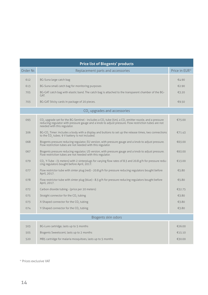| <b>Price list of Biogents' products</b> |                                                                                                                                                                                                                                                                                 |               |  |  |  |  |
|-----------------------------------------|---------------------------------------------------------------------------------------------------------------------------------------------------------------------------------------------------------------------------------------------------------------------------------|---------------|--|--|--|--|
| Order Nr.                               | Replacement parts and accessories                                                                                                                                                                                                                                               | Price in EUR* |  |  |  |  |
| 612                                     | BG-Suna large catch bag                                                                                                                                                                                                                                                         | €4.90         |  |  |  |  |
| 613                                     | BG-Suna small catch bag for monitoring purposes                                                                                                                                                                                                                                 | €2.90         |  |  |  |  |
| 705                                     | BG-GAT catch bag with elastic band. The catch bag is attached to the transparent chamber of the BG-<br>GAT.                                                                                                                                                                     | €3.20         |  |  |  |  |
| 703                                     | BG-GAT Sticky cards in package of 20 pieces.                                                                                                                                                                                                                                    | €9.50         |  |  |  |  |
|                                         | CO <sub>2</sub> upgrades and accessories                                                                                                                                                                                                                                        |               |  |  |  |  |
| 093                                     | CO <sub>2</sub> upgrade set for the BG-Sentinel - includes a CO <sub>2</sub> tube (5m), a CO <sub>2</sub> emitter nozzle, and a pressure<br>reducing regulator with pressure gauge and a knob to adjust pressure. Flow restriction tubes are not<br>needed with this regulator. | €75.00        |  |  |  |  |
| 306                                     | BG-CO <sub>,</sub> Timer: includes a body with a display and buttons to set up the release times, two connections<br>to the $CO2$ tubes. 9 V battery is not included.                                                                                                           | €71.43        |  |  |  |  |
| 068                                     | Biogents pressure reducing regulator, EU version, with pressure gauge and a knob to adjust pressure.<br>Flow restriction tubes are not needed with this regulator.                                                                                                              | €63.00        |  |  |  |  |
| 067                                     | Biogents pressure reducing regulator, US version, with pressure gauge and a knob to adjust pressure.<br>Flow restriction tubes are not needed with this regulator.                                                                                                              | €63.00        |  |  |  |  |
| 079                                     | CO <sub>2</sub> Y-Tube - (5 meters) with 2 sinterplugs for varying flow rates of 8.3 and 20.8 g/h for pressure redu-<br>cing regulators bought before April, 2017.                                                                                                              | €13.00        |  |  |  |  |
| 077                                     | Flow restrictor tube with sinter plug (red) - 20.8 g/h for pressure reducing regulators bought before<br>April, 2017.                                                                                                                                                           | €5.80         |  |  |  |  |
| 078                                     | Flow restrictor tube with sinter plug (blue) - 8.3 g/h for pressure reducing regulators bought before<br>April, 2017.                                                                                                                                                           | €5.80         |  |  |  |  |
| 072                                     | Carbon dioxide tubing - (price per 20 meters)                                                                                                                                                                                                                                   | €32.75        |  |  |  |  |
| 075                                     | Straight connector for the CO <sub>2</sub> tubing                                                                                                                                                                                                                               | €3.80         |  |  |  |  |
| 073                                     | X-Shaped connector for the CO <sub>2</sub> tubing                                                                                                                                                                                                                               | €3.80         |  |  |  |  |
| 074                                     | Y-Shaped connector for the CO <sub>2</sub> tubing                                                                                                                                                                                                                               | €3.80         |  |  |  |  |
| Biogents skin odors                     |                                                                                                                                                                                                                                                                                 |               |  |  |  |  |
| 503                                     | BG-Lure cartridge, lasts up to 5 months                                                                                                                                                                                                                                         | €26.00        |  |  |  |  |
| 505                                     | Biogents Sweetscent, lasts up to 2 months                                                                                                                                                                                                                                       | €15.10        |  |  |  |  |
| 520                                     | MB5 cartridge for malaria mosquitoes, lasts up to 5 months                                                                                                                                                                                                                      | €30.00        |  |  |  |  |

\* Prices exclusive VAT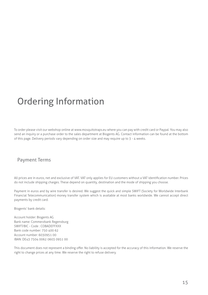### Ordering Information

To order please visit our webshop online at www.mosquitotraps.eu where you can pay with credit card or Paypal. You may also send an inquiry or a purchase order to the sales department at Biogents AG. Contact information can be found at the bottom of this page. Delivery periods vary depending on order size and may require up to 3 - 4 weeks.

#### Payment Terms

All prices are in euros, net and exclusive of VAT. VAT only applies for EU customers without a VAT identification number. Prices do not include shipping charges. These depend on quantity, destination and the mode of shipping you choose.

Payment in euros and by wire transfer is desired. We suggest the quick and simple SWIFT (Society for Worldwide Interbank Financial Telecommunication) money transfer system which is available at most banks worldwide. We cannot accept direct payments by credit card.

Biogents' bank details:

Account holder: Biogents AG Bank name: Commerzbank Regensburg SWIFT/BIC - Code : COBADEFFXXX Bank code number: 750 400 62 Account number: 6030951 00 IBAN: DE43 7504 0062 0603 0951 00

This document does not represent a binding offer. No liability is accepted for the accuracy of this information. We reserve the right to change prices at any time. We reserve the right to refuse delivery.